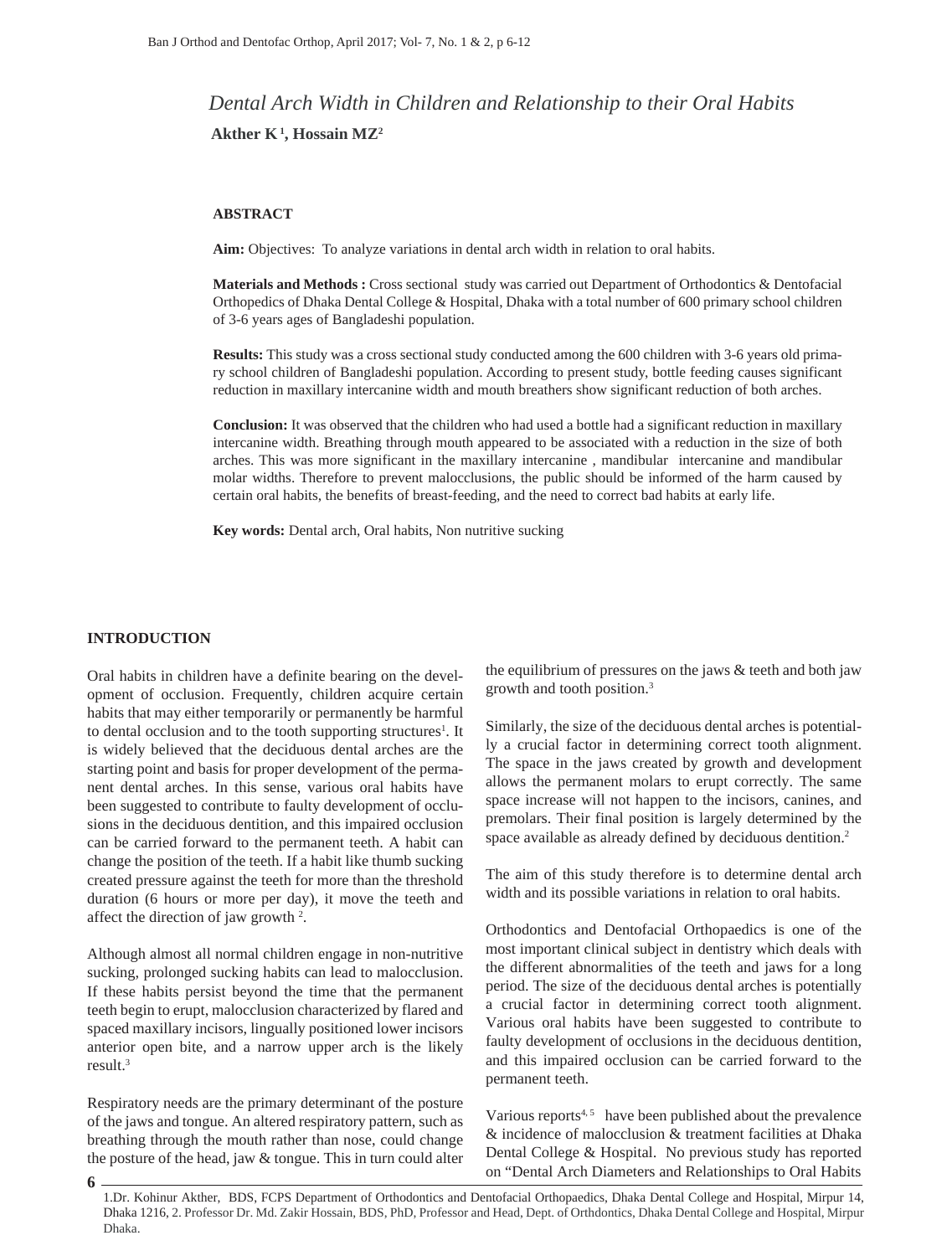# *Dental Arch Width in Children and Relationship to their Oral Habits* Akther  $K^1$ , Hossain MZ<sup>2</sup>

#### **ABSTRACT**

**Aim:** Objectives: To analyze variations in dental arch width in relation to oral habits.

**Materials and Methods :** Cross sectional study was carried out Department of Orthodontics & Dentofacial Orthopedics of Dhaka Dental College & Hospital, Dhaka with a total number of 600 primary school children of 3-6 years ages of Bangladeshi population.

**Results:** This study was a cross sectional study conducted among the 600 children with 3-6 years old primary school children of Bangladeshi population. According to present study, bottle feeding causes significant reduction in maxillary intercanine width and mouth breathers show significant reduction of both arches.

**Conclusion:** It was observed that the children who had used a bottle had a significant reduction in maxillary intercanine width. Breathing through mouth appeared to be associated with a reduction in the size of both arches. This was more significant in the maxillary intercanine , mandibular intercanine and mandibular molar widths. Therefore to prevent malocclusions, the public should be informed of the harm caused by certain oral habits, the benefits of breast-feeding, and the need to correct bad habits at early life.

**Key words:** Dental arch, Oral habits, Non nutritive sucking

#### **INTRODUCTION**

**6**

Oral habits in children have a definite bearing on the development of occlusion. Frequently, children acquire certain habits that may either temporarily or permanently be harmful to dental occlusion and to the tooth supporting structures<sup>1</sup>. It is widely believed that the deciduous dental arches are the starting point and basis for proper development of the permanent dental arches. In this sense, various oral habits have been suggested to contribute to faulty development of occlusions in the deciduous dentition, and this impaired occlusion can be carried forward to the permanent teeth. A habit can change the position of the teeth. If a habit like thumb sucking created pressure against the teeth for more than the threshold duration (6 hours or more per day), it move the teeth and affect the direction of jaw growth 2 .

Although almost all normal children engage in non-nutritive sucking, prolonged sucking habits can lead to malocclusion. If these habits persist beyond the time that the permanent teeth begin to erupt, malocclusion characterized by flared and spaced maxillary incisors, lingually positioned lower incisors anterior open bite, and a narrow upper arch is the likely result.3

Respiratory needs are the primary determinant of the posture of the jaws and tongue. An altered respiratory pattern, such as breathing through the mouth rather than nose, could change the posture of the head, jaw & tongue. This in turn could alter the equilibrium of pressures on the jaws & teeth and both jaw growth and tooth position.3

Similarly, the size of the deciduous dental arches is potentially a crucial factor in determining correct tooth alignment. The space in the jaws created by growth and development allows the permanent molars to erupt correctly. The same space increase will not happen to the incisors, canines, and premolars. Their final position is largely determined by the space available as already defined by deciduous dentition.<sup>2</sup>

The aim of this study therefore is to determine dental arch width and its possible variations in relation to oral habits.

Orthodontics and Dentofacial Orthopaedics is one of the most important clinical subject in dentistry which deals with the different abnormalities of the teeth and jaws for a long period. The size of the deciduous dental arches is potentially a crucial factor in determining correct tooth alignment. Various oral habits have been suggested to contribute to faulty development of occlusions in the deciduous dentition, and this impaired occlusion can be carried forward to the permanent teeth.

Various reports $4, 5$  have been published about the prevalence & incidence of malocclusion & treatment facilities at Dhaka Dental College & Hospital. No previous study has reported on "Dental Arch Diameters and Relationships to Oral Habits

1.Dr. Kohinur Akther, BDS, FCPS Department of Orthodontics and Dentofacial Orthopaedics, Dhaka Dental College and Hospital, Mirpur 14, Dhaka 1216, 2. Professor Dr. Md. Zakir Hossain, BDS, PhD, Professor and Head, Dept. of Orthdontics, Dhaka Dental College and Hospital, Mirpur Dhaka.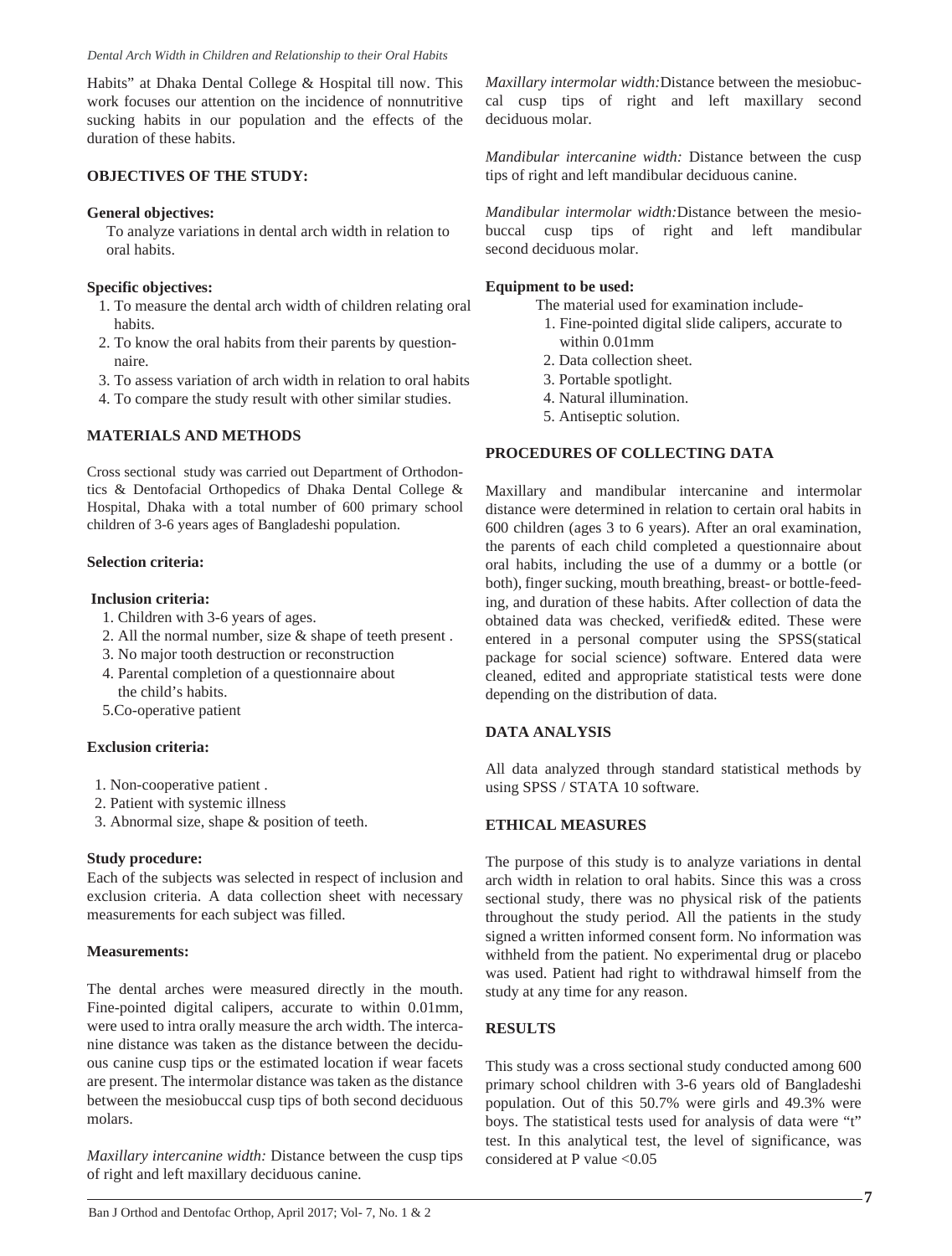Habits" at Dhaka Dental College & Hospital till now. This work focuses our attention on the incidence of nonnutritive sucking habits in our population and the effects of the duration of these habits.

# **OBJECTIVES OF THE STUDY:**

### **General objectives:**

 To analyze variations in dental arch width in relation to oral habits.

# **Specific objectives:**

- 1. To measure the dental arch width of children relating oral habits.
- 2. To know the oral habits from their parents by question naire.
- 3. To assess variation of arch width in relation to oral habits
- 4. To compare the study result with other similar studies.

# **MATERIALS AND METHODS**

Cross sectional study was carried out Department of Orthodontics & Dentofacial Orthopedics of Dhaka Dental College & Hospital, Dhaka with a total number of 600 primary school children of 3-6 years ages of Bangladeshi population.

#### **Selection criteria:**

#### **Inclusion criteria:**

- 1. Children with 3-6 years of ages.
- 2. All the normal number, size & shape of teeth present .
- 3. No major tooth destruction or reconstruction
- 4. Parental completion of a questionnaire about
- the child's habits.
- 5.Co-operative patient

# **Exclusion criteria:**

- 1. Non-cooperative patient .
- 2. Patient with systemic illness
- 3. Abnormal size, shape & position of teeth.

# **Study procedure:**

Each of the subjects was selected in respect of inclusion and exclusion criteria. A data collection sheet with necessary measurements for each subject was filled.

# **Measurements:**

The dental arches were measured directly in the mouth. Fine-pointed digital calipers, accurate to within 0.01mm, were used to intra orally measure the arch width. The intercanine distance was taken as the distance between the deciduous canine cusp tips or the estimated location if wear facets are present. The intermolar distance was taken as the distance between the mesiobuccal cusp tips of both second deciduous molars.

*Maxillary intercanine width:* Distance between the cusp tips of right and left maxillary deciduous canine.

*Maxillary intermolar width:*Distance between the mesiobuccal cusp tips of right and left maxillary second deciduous molar.

*Mandibular intercanine width:* Distance between the cusp tips of right and left mandibular deciduous canine.

*Mandibular intermolar width:*Distance between the mesiobuccal cusp tips of right and left mandibular second deciduous molar.

# **Equipment to be used:**

The material used for examination include-

- 1. Fine-pointed digital slide calipers, accurate to within 0.01mm
- 2. Data collection sheet.
- 3. Portable spotlight.
- 4. Natural illumination.
- 5. Antiseptic solution.

# **PROCEDURES OF COLLECTING DATA**

Maxillary and mandibular intercanine and intermolar distance were determined in relation to certain oral habits in 600 children (ages 3 to 6 years). After an oral examination, the parents of each child completed a questionnaire about oral habits, including the use of a dummy or a bottle (or both), finger sucking, mouth breathing, breast- or bottle-feeding, and duration of these habits. After collection of data the obtained data was checked, verified& edited. These were entered in a personal computer using the SPSS(statical package for social science) software. Entered data were cleaned, edited and appropriate statistical tests were done depending on the distribution of data.

# **DATA ANALYSIS**

All data analyzed through standard statistical methods by using SPSS / STATA 10 software.

# **ETHICAL MEASURES**

The purpose of this study is to analyze variations in dental arch width in relation to oral habits. Since this was a cross sectional study, there was no physical risk of the patients throughout the study period. All the patients in the study signed a written informed consent form. No information was withheld from the patient. No experimental drug or placebo was used. Patient had right to withdrawal himself from the study at any time for any reason.

# **RESULTS**

This study was a cross sectional study conducted among 600 primary school children with 3-6 years old of Bangladeshi population. Out of this 50.7% were girls and 49.3% were boys. The statistical tests used for analysis of data were "t" test. In this analytical test, the level of significance, was considered at P value <0.05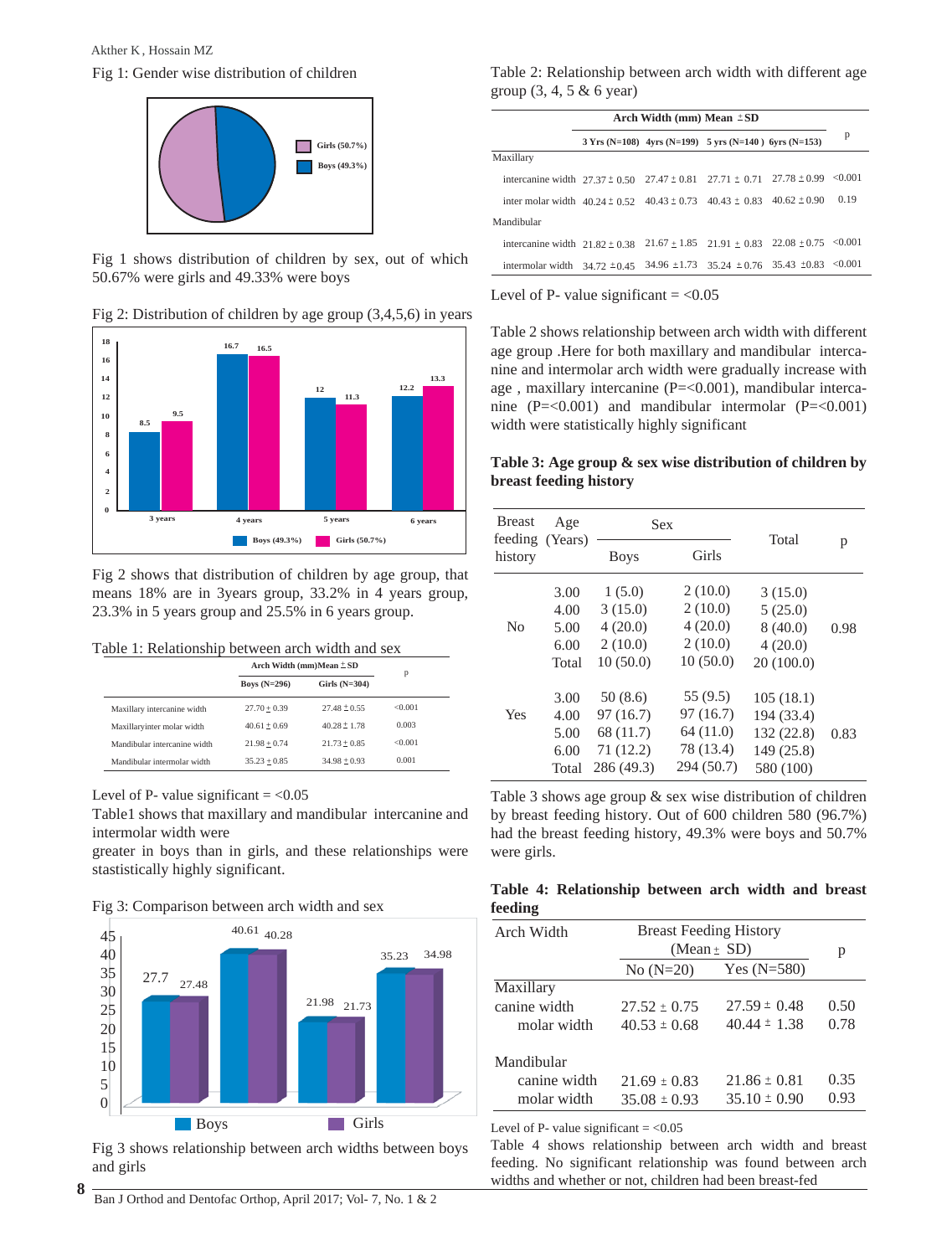Fig 1: Gender wise distribution of children Akther K , Hossain MZ



Fig 1 shows distribution of children by sex, out of which 50.67% were girls and 49.33% were boys

# Fig 2: Distribution of children by age group (3,4,5,6) in years



Fig 2 shows that distribution of children by age group, that means 18% are in 3years group, 33.2% in 4 years group, 23.3% in 5 years group and 25.5% in 6 years group.

#### Table 1: Relationship between arch width and sex

|                              | Arch Width $(mm)Mean \pm SD$ |                  |         |
|------------------------------|------------------------------|------------------|---------|
|                              | Boys $(N=296)$               | Girls $(N=304)$  | р       |
| Maxillary intercanine width  | $27.70 + 0.39$               | $27.48 \pm 0.55$ | < 0.001 |
| Maxillaryinter molar width   | $40.61 + 0.69$               | $40.28 \pm 1.78$ | 0.003   |
| Mandibular intercanine width | $21.98 + 0.74$               | $21.73 + 0.85$   | <0.001  |
| Mandibular intermolar width  | $35.23 + 0.85$               | $34.98 \pm 0.93$ | 0.001   |

#### Level of P- value significant  $= <0.05$

Table1 shows that maxillary and mandibular intercanine and intermolar width were

greater in boys than in girls, and these relationships were stastistically highly significant.





Fig 3 shows relationship between arch widths between boys and girls

Table 2: Relationship between arch width with different age group (3, 4, 5 & 6 year)

|                                                                                              | Arch Width (mm) Mean $\pm SD$ |  |                                                               |  |      |
|----------------------------------------------------------------------------------------------|-------------------------------|--|---------------------------------------------------------------|--|------|
|                                                                                              |                               |  | $3 Yrs (N=108)$ 4yrs $(N=199)$ 5 yrs $(N=140)$ 6yrs $(N=153)$ |  | p    |
| Maxillary                                                                                    |                               |  |                                                               |  |      |
| intercanine width $27.37 \pm 0.50$ $27.47 \pm 0.81$ $27.71 \pm 0.71$ $27.78 \pm 0.99$ <0.001 |                               |  |                                                               |  |      |
| inter molar width $40.24 \pm 0.52$ $40.43 \pm 0.73$ $40.43 \pm 0.83$ $40.62 \pm 0.90$        |                               |  |                                                               |  | 0.19 |
| Mandibular                                                                                   |                               |  |                                                               |  |      |
| intercanine width $21.82 \pm 0.38$                                                           |                               |  | $21.67 \pm 1.85$ $21.91 \pm 0.83$ $22.08 \pm 0.75$ <0.001     |  |      |
| intermolar width $34.72 \pm 0.45$                                                            |                               |  | $34.96 \pm 1.73$ $35.24 \pm 0.76$ $35.43 \pm 0.83$ <0.001     |  |      |

Level of P- value significant  $= <0.05$ 

Table 2 shows relationship between arch width with different age group .Here for both maxillary and mandibular intercanine and intermolar arch width were gradually increase with age , maxillary intercanine (P=<0.001), mandibular intercanine  $(P=<0.001)$  and mandibular intermolar  $(P=<0.001)$ width were statistically highly significant

#### **Table 3: Age group & sex wise distribution of children by breast feeding history**

| <b>Breast</b><br>feeding (Years) | Age                   | <b>Sex</b>                          |                                     | Total                                 |      |
|----------------------------------|-----------------------|-------------------------------------|-------------------------------------|---------------------------------------|------|
| history                          |                       | <b>Boys</b>                         | Girls                               |                                       | p    |
|                                  | 3.00<br>4.00          | 1(5.0)<br>3(15.0)                   | 2(10.0)<br>2(10.0)                  | 3(15.0)<br>5(25.0)                    |      |
| N <sub>0</sub>                   | 5.00<br>6.00          | 4(20.0)<br>2(10.0)                  | 4(20.0)<br>2(10.0)                  | 8(40.0)<br>4(20.0)                    | 0.98 |
| Yes                              | Total<br>3.00<br>4.00 | 10(50.0)<br>50(8.6)<br>97 (16.7)    | 10(50.0)<br>55 (9.5)<br>97 (16.7)   | 20(100.0)<br>105(18.1)<br>194 (33.4)  |      |
|                                  | 5.00<br>6.00<br>Total | 68 (11.7)<br>71(12.2)<br>286 (49.3) | 64(11.0)<br>78 (13.4)<br>294 (50.7) | 132 (22.8)<br>149 (25.8)<br>580 (100) | 0.83 |

Table 3 shows age group & sex wise distribution of children by breast feeding history. Out of 600 children 580 (96.7%) had the breast feeding history, 49.3% were boys and 50.7% were girls.

#### **Table 4: Relationship between arch width and breast feeding**

| Arch Width   | <b>Breast Feeding History</b> |                  |      |
|--------------|-------------------------------|------------------|------|
|              |                               | (Mean $\pm$ SD)  | р    |
|              |                               |                  |      |
| Maxillary    |                               |                  |      |
| canine width | $27.52 \pm 0.75$              | $27.59 \pm 0.48$ | 0.50 |
| molar width  | $40.53 \pm 0.68$              | $40.44 \pm 1.38$ | 0.78 |
| Mandibular   |                               |                  |      |
| canine width | $21.69 \pm 0.83$              | $21.86 \pm 0.81$ | 0.35 |
| molar width  | $35.08 \pm 0.93$              | $35.10 \pm 0.90$ | 0.93 |

Level of P- value significant  $= <0.05$ 

Table 4 shows relationship between arch width and breast feeding. No significant relationship was found between arch widths and whether or not, children had been breast-fed

Ban J Orthod and Dentofac Orthop, April 2017; Vol- 7, No. 1 & 2 **8**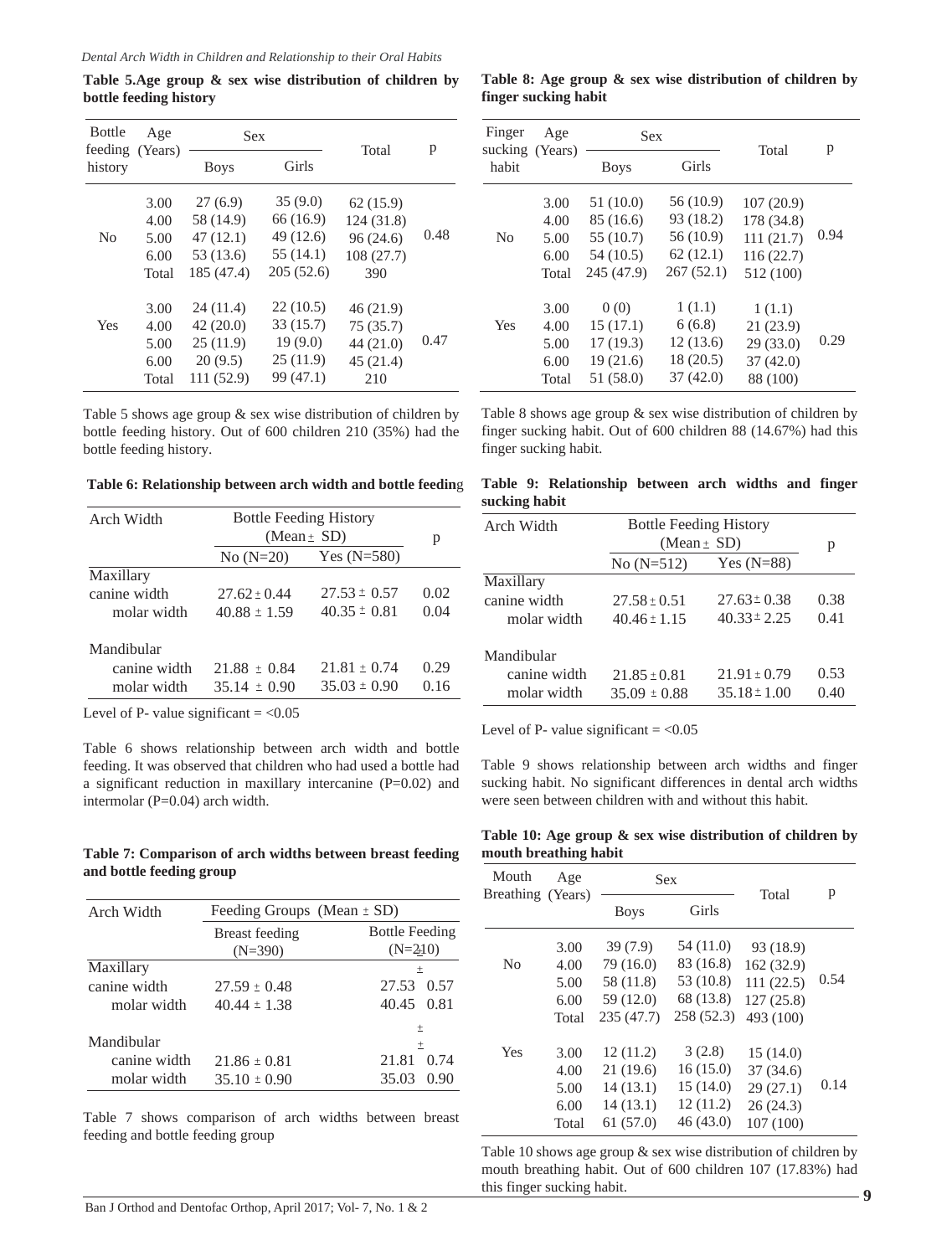**Table 5.Age group & sex wise distribution of children by bottle feeding history**

| <b>Bottle</b><br>Age<br>feeding (Years) |                                       |                                                             | Sex                                                         |                                                         |      |
|-----------------------------------------|---------------------------------------|-------------------------------------------------------------|-------------------------------------------------------------|---------------------------------------------------------|------|
| history                                 |                                       | <b>Boys</b>                                                 | Girls                                                       | Total                                                   | p    |
| N <sub>0</sub>                          | 3.00<br>4.00<br>5.00<br>6.00<br>Total | 27(6.9)<br>58 (14.9)<br>47(12.1)<br>53 (13.6)<br>185 (47.4) | 35(9.0)<br>66 (16.9)<br>49 (12.6)<br>55 (14.1)<br>205(52.6) | 62(15.9)<br>124 (31.8)<br>96(24.6)<br>108 (27.7)<br>390 | 0.48 |
| Yes                                     | 3.00<br>4.00<br>5.00<br>6.00<br>Total | 24 (11.4)<br>42(20.0)<br>25(11.9)<br>20(9.5)<br>111(52.9)   | 22(10.5)<br>33 (15.7)<br>19(9.0)<br>25(11.9)<br>99 (47.1)   | 46(21.9)<br>75(35.7)<br>44 (21.0)<br>45(21.4)<br>210    | 0.47 |

Table 5 shows age group & sex wise distribution of children by bottle feeding history. Out of 600 children 210 (35%) had the bottle feeding history.

 **Table 6: Relationship between arch width and bottle feedin**g

|                  |                  | p                                                |
|------------------|------------------|--------------------------------------------------|
| $No (N=20)$      | Yes $(N=580)$    |                                                  |
|                  |                  |                                                  |
| $27.62 \pm 0.44$ | $27.53 \pm 0.57$ | 0.02                                             |
| $40.88 \pm 1.59$ | $40.35 \pm 0.81$ | 0.04                                             |
|                  |                  |                                                  |
| $21.88 \pm 0.84$ | $21.81 \pm 0.74$ | 0.29                                             |
| $35.14 \pm 0.90$ | $35.03 \pm 0.90$ | 0.16                                             |
|                  |                  | <b>Bottle Feeding History</b><br>(Mean $\pm$ SD) |

Level of P- value significant  $= <0.05$ 

Table 6 shows relationship between arch width and bottle feeding. It was observed that children who had used a bottle had a significant reduction in maxillary intercanine (P=0.02) and intermolar (P=0.04) arch width.

#### **Table 7: Comparison of arch widths between breast feeding and bottle feeding group**

| Arch Width   | Feeding Groups (Mean $\pm$ SD) |                       |
|--------------|--------------------------------|-----------------------|
|              | Breast feeding                 | <b>Bottle Feeding</b> |
|              | $(N=390)$                      | $(N=210)$             |
| Maxillary    |                                | 士                     |
| canine width | $27.59 \pm 0.48$               | 27.53<br>(0.57)       |
| molar width  | $40.44 \pm 1.38$               | 40.45 0.81            |
|              |                                | 士                     |
| Mandibular   |                                | $+$                   |
| canine width | $21.86 \pm 0.81$               | 21.81<br>0.74         |
| molar width  | $35.10 \pm 0.90$               | 35.03<br>0.90         |

Table 7 shows comparison of arch widths between breast feeding and bottle feeding group

**Table 8: Age group & sex wise distribution of children by finger sucking habit**

| Finger<br>Age<br>sucking (Years) |       | <b>Sex</b>  |           | Total      | p    |
|----------------------------------|-------|-------------|-----------|------------|------|
| habit                            |       | <b>Boys</b> | Girls     |            |      |
|                                  | 3.00  | 51(10.0)    | 56 (10.9) | 107(20.9)  |      |
|                                  | 4.00  | 85 (16.6)   | 93 (18.2) | 178 (34.8) |      |
| No                               | 5.00  | 55 (10.7)   | 56 (10.9) | 111(21.7)  | 0.94 |
|                                  | 6.00  | 54 (10.5)   | 62(12.1)  | 116(22.7)  |      |
|                                  | Total | 245 (47.9)  | 267(52.1) | 512 (100)  |      |
|                                  | 3.00  | 0(0)        | 1(1.1)    | 1(1.1)     |      |
| Yes                              | 4.00  | 15(17.1)    | 6(6.8)    | 21 (23.9)  |      |
|                                  | 5.00  | 17(19.3)    | 12(13.6)  | 29(33.0)   | 0.29 |
|                                  | 6.00  | 19(21.6)    | 18 (20.5) | 37(42.0)   |      |
|                                  | Total | 51 (58.0)   | 37(42.0)  | 88 (100)   |      |

Table 8 shows age group & sex wise distribution of children by finger sucking habit. Out of 600 children 88 (14.67%) had this finger sucking habit.

|               | Table 9: Relationship between arch widths and finger |  |  |  |
|---------------|------------------------------------------------------|--|--|--|
| sucking habit |                                                      |  |  |  |

| Arch Width   | <b>Bottle Feeding History</b> |                  |      |
|--------------|-------------------------------|------------------|------|
|              | (Mean $\pm$ SD)               |                  | p    |
|              | $No (N=512)$                  | Yes $(N=88)$     |      |
| Maxillary    |                               |                  |      |
| canine width | $27.58 \pm 0.51$              | $27.63 \pm 0.38$ | 0.38 |
| molar width  | $40.46 \pm 1.15$              | $40.33 \pm 2.25$ | 0.41 |
| Mandibular   |                               |                  |      |
| canine width | $21.85 \pm 0.81$              | $21.91 \pm 0.79$ | 0.53 |
| molar width  | $35.09 \pm 0.88$              | $35.18 \pm 1.00$ | 0.40 |

Level of P- value significant  $= <0.05$ 

Table 9 shows relationship between arch widths and finger sucking habit. No significant differences in dental arch widths were seen between children with and without this habit.

**Table 10: Age group & sex wise distribution of children by mouth breathing habit**

| Mouth<br>Breathing (Years) | Age   | <b>Sex</b>  |            | Total      | p    |
|----------------------------|-------|-------------|------------|------------|------|
|                            |       | <b>Boys</b> | Girls      |            |      |
|                            | 3.00  | 39(7.9)     | 54 (11.0)  | 93 (18.9)  |      |
| No                         | 4.00  | 79 (16.0)   | 83 (16.8)  | 162 (32.9) |      |
|                            | 5.00  | 58 (11.8)   | 53 (10.8)  | 111(22.5)  | 0.54 |
|                            | 6.00  | 59 (12.0)   | 68 (13.8)  | 127(25.8)  |      |
|                            | Total | 235 (47.7)  | 258 (52.3) | 493 (100)  |      |
| Yes                        | 3.00  | 12(11.2)    | 3(2.8)     | 15(14.0)   |      |
|                            | 4.00  | 21(19.6)    | 16(15.0)   | 37(34.6)   |      |
|                            | 5.00  | 14(13.1)    | 15(14.0)   | 29(27.1)   | 0.14 |
|                            | 6.00  | 14(13.1)    | 12(11.2)   | 26(24.3)   |      |
|                            | Total | 61(57.0)    | 46 (43.0)  | 107(100)   |      |

Table 10 shows age group & sex wise distribution of children by mouth breathing habit. Out of 600 children 107 (17.83%) had this finger sucking habit.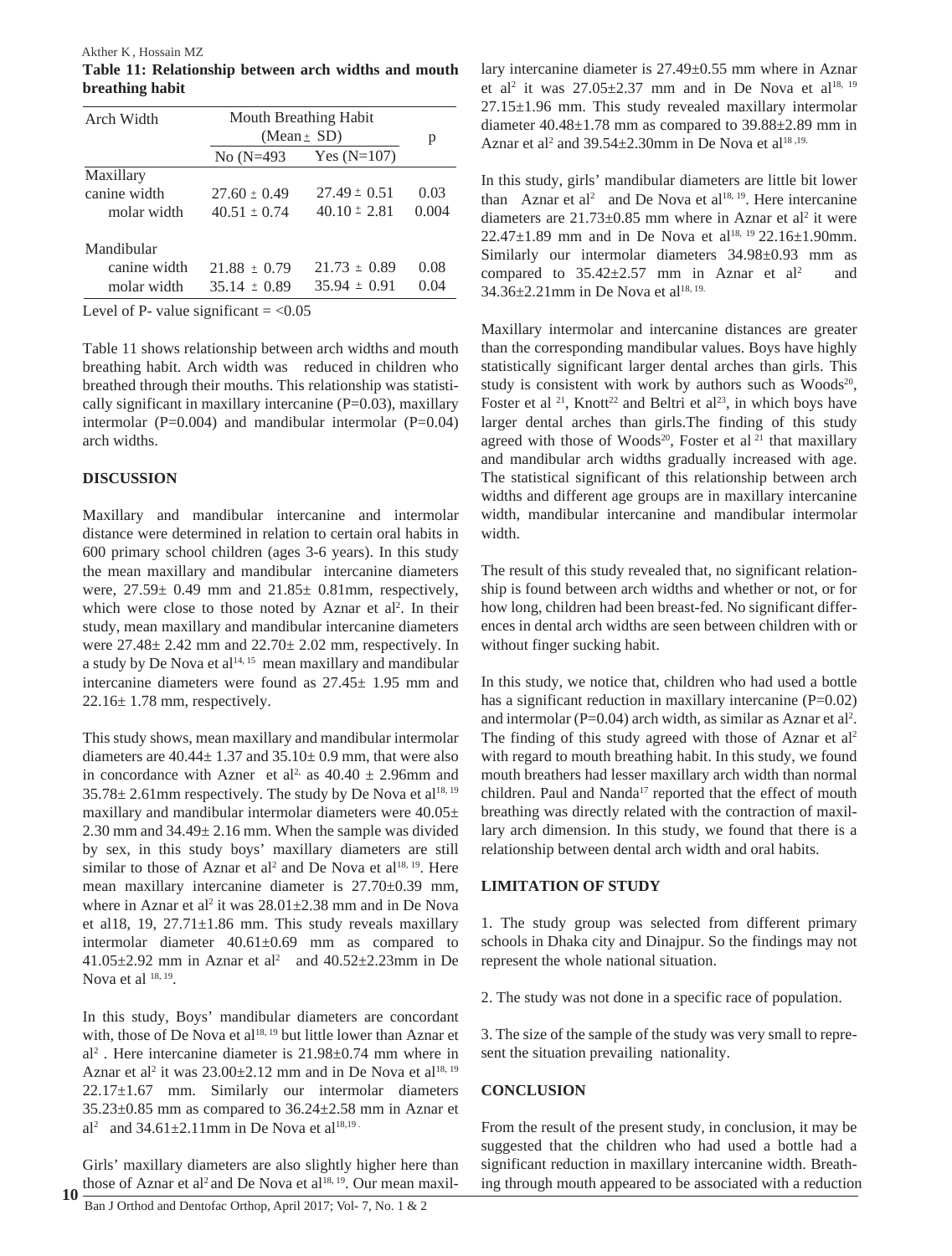**Table 11: Relationship between arch widths and mouth breathing habit** Akther K , Hossain MZ

| Arch Width   | Mouth Breathing Habit<br>(Mean $\pm$ SD) | p                |       |
|--------------|------------------------------------------|------------------|-------|
|              | No (N=493                                | Yes $(N=107)$    |       |
| Maxillary    |                                          |                  |       |
| canine width | $27.60 \pm 0.49$                         | $27.49 \pm 0.51$ | 0.03  |
| molar width  | $40.51 \pm 0.74$                         | $40.10 \pm 2.81$ | 0.004 |
| Mandibular   |                                          |                  |       |
| canine width | $21.88 \pm 0.79$                         | $21.73 \pm 0.89$ | 0.08  |
| molar width  | $35.14 \pm 0.89$                         | $35.94 \pm 0.91$ | 0.04  |

Level of P- value significant  $= <0.05$ 

Table 11 shows relationship between arch widths and mouth breathing habit. Arch width was reduced in children who breathed through their mouths. This relationship was statistically significant in maxillary intercanine  $(P=0.03)$ , maxillary intermolar ( $P=0.004$ ) and mandibular intermolar ( $P=0.04$ ) arch widths.

### **DISCUSSION**

Maxillary and mandibular intercanine and intermolar distance were determined in relation to certain oral habits in 600 primary school children (ages 3-6 years). In this study the mean maxillary and mandibular intercanine diameters were,  $27.59 \pm 0.49$  mm and  $21.85 \pm 0.81$  mm, respectively, which were close to those noted by Aznar et al<sup>2</sup>. In their study, mean maxillary and mandibular intercanine diameters were 27.48± 2.42 mm and 22.70± 2.02 mm, respectively. In a study by De Nova et al<sup>14, 15</sup> mean maxillary and mandibular intercanine diameters were found as 27.45± 1.95 mm and  $22.16 \pm 1.78$  mm, respectively.

This study shows, mean maxillary and mandibular intermolar diameters are  $40.44 \pm 1.37$  and  $35.10 \pm 0.9$  mm, that were also in concordance with Azner et al<sup>2,</sup> as  $40.40 \pm 2.96$  mm and  $35.78 \pm 2.61$  mm respectively. The study by De Nova et al<sup>18, 19</sup> maxillary and mandibular intermolar diameters were  $40.05\pm$ 2.30 mm and  $34.49 \pm 2.16$  mm. When the sample was divided by sex, in this study boys' maxillary diameters are still similar to those of Aznar et al<sup>2</sup> and De Nova et al<sup>18, 19</sup>. Here mean maxillary intercanine diameter is 27.70±0.39 mm, where in Aznar et al<sup>2</sup> it was  $28.01 \pm 2.38$  mm and in De Nova et al18, 19, 27.71±1.86 mm. This study reveals maxillary intermolar diameter 40.61±0.69 mm as compared to  $41.05 \pm 2.92$  mm in Aznar et al<sup>2</sup> and  $40.52 \pm 2.23$  mm in De Nova et al  $18, 19$ .

In this study, Boys' mandibular diameters are concordant with, those of De Nova et al<sup>18, 19</sup> but little lower than Aznar et al2 . Here intercanine diameter is 21.98±0.74 mm where in Aznar et al<sup>2</sup> it was  $23.00\pm2.12$  mm and in De Nova et al<sup>18, 19</sup> 22.17±1.67 mm. Similarly our intermolar diameters  $35.23\pm0.85$  mm as compared to  $36.24\pm2.58$  mm in Aznar et al<sup>2</sup> and 34.61 $\pm$ 2.11mm in De Nova et al<sup>18,19</sup>

Girls' maxillary diameters are also slightly higher here than those of Aznar et al<sup>2</sup> and De Nova et al<sup>18, 19</sup>. Our mean maxil-**10**

lary intercanine diameter is 27.49±0.55 mm where in Aznar et al<sup>2</sup> it was  $27.05 \pm 2.37$  mm and in De Nova et al<sup>18, 19</sup> 27.15±1.96 mm. This study revealed maxillary intermolar diameter  $40.48 \pm 1.78$  mm as compared to  $39.88 \pm 2.89$  mm in Aznar et al<sup>2</sup> and 39.54 $\pm$ 2.30mm in De Nova et al<sup>18,19</sup>

In this study, girls' mandibular diameters are little bit lower than Aznar et  $al^2$  and De Nova et  $al^{18, 19}$ . Here intercanine diameters are  $21.73 \pm 0.85$  mm where in Aznar et al<sup>2</sup> it were 22.47 $\pm$ 1.89 mm and in De Nova et al<sup>18, 19</sup> 22.16 $\pm$ 1.90mm. Similarly our intermolar diameters 34.98±0.93 mm as compared to  $35.42 \pm 2.57$  mm in Aznar et al<sup>2</sup> and  $34.36 \pm 2.21$  mm in De Nova et al<sup>18, 19.</sup>

Maxillary intermolar and intercanine distances are greater than the corresponding mandibular values. Boys have highly statistically significant larger dental arches than girls. This study is consistent with work by authors such as  $Woods^{20}$ , Foster et al  $21$ , Knott<sup>22</sup> and Beltri et al<sup>23</sup>, in which boys have larger dental arches than girls.The finding of this study agreed with those of Woods<sup>20</sup>, Foster et al<sup>21</sup> that maxillary and mandibular arch widths gradually increased with age. The statistical significant of this relationship between arch widths and different age groups are in maxillary intercanine width, mandibular intercanine and mandibular intermolar width.

The result of this study revealed that, no significant relationship is found between arch widths and whether or not, or for how long, children had been breast-fed. No significant differences in dental arch widths are seen between children with or without finger sucking habit.

In this study, we notice that, children who had used a bottle has a significant reduction in maxillary intercanine (P=0.02) and intermolar ( $P=0.04$ ) arch width, as similar as Aznar et al<sup>2</sup>. The finding of this study agreed with those of Aznar et al<sup>2</sup> with regard to mouth breathing habit. In this study, we found mouth breathers had lesser maxillary arch width than normal children. Paul and Nanda<sup>17</sup> reported that the effect of mouth breathing was directly related with the contraction of maxillary arch dimension. In this study, we found that there is a relationship between dental arch width and oral habits.

# **LIMITATION OF STUDY**

1. The study group was selected from different primary schools in Dhaka city and Dinajpur. So the findings may not represent the whole national situation.

2. The study was not done in a specific race of population.

3. The size of the sample of the study was very small to represent the situation prevailing nationality.

# **CONCLUSION**

From the result of the present study, in conclusion, it may be suggested that the children who had used a bottle had a significant reduction in maxillary intercanine width. Breathing through mouth appeared to be associated with a reduction

Ban J Orthod and Dentofac Orthop, April 2017; Vol- 7, No. 1 & 2